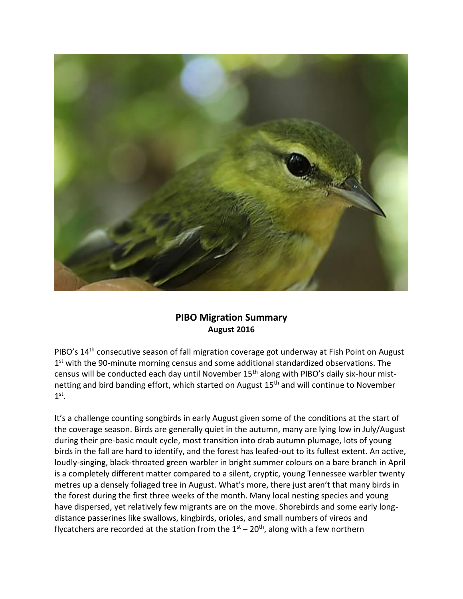

## **PIBO Migration Summary August 2016**

PIBO's 14<sup>th</sup> consecutive season of fall migration coverage got underway at Fish Point on August 1<sup>st</sup> with the 90-minute morning census and some additional standardized observations. The census will be conducted each day until November 15<sup>th</sup> along with PIBO's daily six-hour mistnetting and bird banding effort, which started on August 15<sup>th</sup> and will continue to November  $1^\text{st}$ .

It's a challenge counting songbirds in early August given some of the conditions at the start of the coverage season. Birds are generally quiet in the autumn, many are lying low in July/August during their pre-basic moult cycle, most transition into drab autumn plumage, lots of young birds in the fall are hard to identify, and the forest has leafed-out to its fullest extent. An active, loudly-singing, black-throated green warbler in bright summer colours on a bare branch in April is a completely different matter compared to a silent, cryptic, young Tennessee warbler twenty metres up a densely foliaged tree in August. What's more, there just aren't that many birds in the forest during the first three weeks of the month. Many local nesting species and young have dispersed, yet relatively few migrants are on the move. Shorebirds and some early longdistance passerines like swallows, kingbirds, orioles, and small numbers of vireos and flycatchers are recorded at the station from the  $1<sup>st</sup> - 20<sup>th</sup>$ , along with a few northern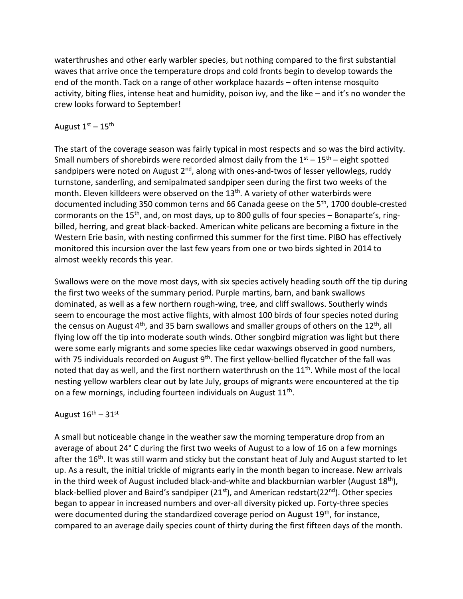waterthrushes and other early warbler species, but nothing compared to the first substantial waves that arrive once the temperature drops and cold fronts begin to develop towards the end of the month. Tack on a range of other workplace hazards – often intense mosquito activity, biting flies, intense heat and humidity, poison ivy, and the like – and it's no wonder the crew looks forward to September!

## August  $1<sup>st</sup> - 15<sup>th</sup>$

The start of the coverage season was fairly typical in most respects and so was the bird activity. Small numbers of shorebirds were recorded almost daily from the  $1<sup>st</sup> - 15<sup>th</sup>$  – eight spotted sandpipers were noted on August  $2<sup>nd</sup>$ , along with ones-and-twos of lesser yellowlegs, ruddy turnstone, sanderling, and semipalmated sandpiper seen during the first two weeks of the month. Eleven killdeers were observed on the  $13<sup>th</sup>$ . A variety of other waterbirds were documented including 350 common terns and 66 Canada geese on the 5<sup>th</sup>, 1700 double-crested cormorants on the 15<sup>th</sup>, and, on most days, up to 800 gulls of four species  $-$  Bonaparte's, ringbilled, herring, and great black-backed. American white pelicans are becoming a fixture in the Western Erie basin, with nesting confirmed this summer for the first time. PIBO has effectively monitored this incursion over the last few years from one or two birds sighted in 2014 to almost weekly records this year.

Swallows were on the move most days, with six species actively heading south off the tip during the first two weeks of the summary period. Purple martins, barn, and bank swallows dominated, as well as a few northern rough-wing, tree, and cliff swallows. Southerly winds seem to encourage the most active flights, with almost 100 birds of four species noted during the census on August  $4<sup>th</sup>$ , and 35 barn swallows and smaller groups of others on the 12<sup>th</sup>, all flying low off the tip into moderate south winds. Other songbird migration was light but there were some early migrants and some species like cedar waxwings observed in good numbers, with 75 individuals recorded on August 9<sup>th</sup>. The first yellow-bellied flycatcher of the fall was noted that day as well, and the first northern waterthrush on the 11<sup>th</sup>. While most of the local nesting yellow warblers clear out by late July, groups of migrants were encountered at the tip on a few mornings, including fourteen individuals on August 11<sup>th</sup>.

## August  $16^{\text{th}} - 31^{\text{st}}$

A small but noticeable change in the weather saw the morning temperature drop from an average of about 24° C during the first two weeks of August to a low of 16 on a few mornings after the 16<sup>th</sup>. It was still warm and sticky but the constant heat of July and August started to let up. As a result, the initial trickle of migrants early in the month began to increase. New arrivals in the third week of August included black-and-white and blackburnian warbler (August  $18<sup>th</sup>$ ), black-bellied plover and Baird's sandpiper (21<sup>st</sup>), and American redstart(22<sup>nd</sup>). Other species began to appear in increased numbers and over-all diversity picked up. Forty-three species were documented during the standardized coverage period on August 19<sup>th</sup>, for instance, compared to an average daily species count of thirty during the first fifteen days of the month.